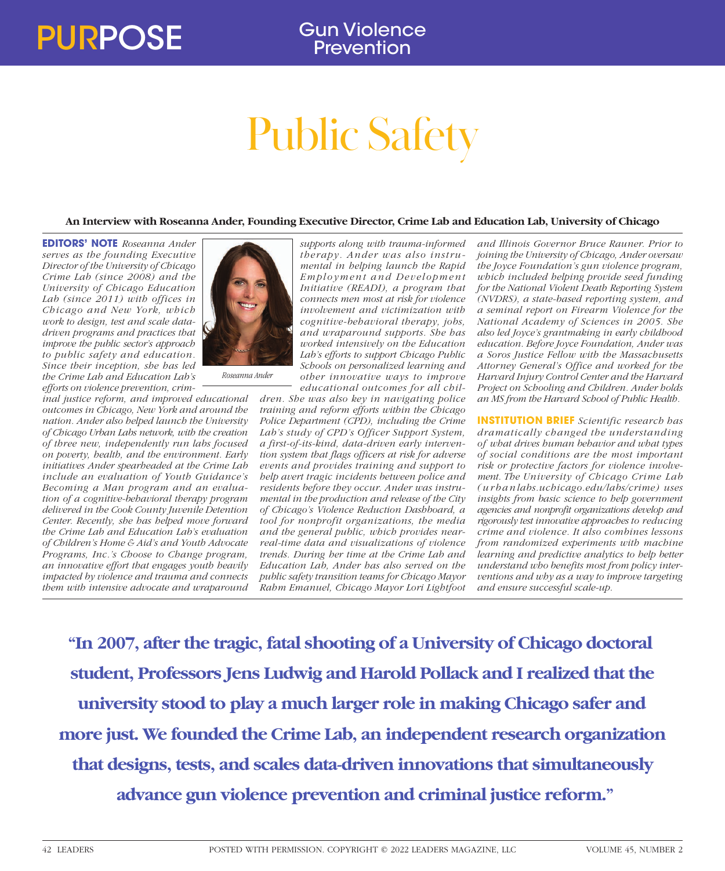# Public Safety

## **An Interview with Roseanna Ander, Founding Executive Director, Crime Lab and Education Lab, University of Chicago**

**EDITORS' NOTE** *Roseanna Ander serves as the founding Executive Director of the University of Chicago Crime Lab (since 2008) and the University of Chicago Education Lab (since 2011) with offices in Chicago and New York, which work to design, test and scale datadriven programs and practices that improve the public sector's approach to public safety and education. Since their inception, she has led the Crime Lab and Education Lab's efforts on violence prevention, crim-*

*inal justice reform, and improved educational outcomes in Chicago, New York and around the nation. Ander also helped launch the University of Chicago Urban Labs network, with the creation of three new, independently run labs focused on poverty, health, and the environment. Early initiatives Ander spearheaded at the Crime Lab include an evaluation of Youth Guidance's Becoming a Man program and an evaluation of a cognitive-behavioral therapy program delivered in the Cook County Juvenile Detention Center. Recently, she has helped move forward the Crime Lab and Education Lab's evaluation of Children's Home & Aid's and Youth Advocate Programs, Inc.'s Choose to Change program, an innovative effort that engages youth heavily impacted by violence and trauma and connects them with intensive advocate and wraparound* 



*supports along with trauma-informed therapy. Ander was also instrumental in helping launch the Rapid Employment and Development Initiative (READI), a program that connects men most at risk for violence involvement and victimization with cognitive-behavioral therapy, jobs, and wraparound supports. She has worked intensively on the Education Lab's efforts to support Chicago Public Schools on personalized learning and other innovative ways to improve educational outcomes for all chil-*

*dren. She was also key in navigating police training and reform efforts within the Chicago Police Department (CPD), including the Crime Lab's study of CPD's Officer Support System, a first-of-its-kind, data-driven early intervention system that flags officers at risk for adverse events and provides training and support to help avert tragic incidents between police and residents before they occur. Ander was instrumental in the production and release of the City of Chicago's Violence Reduction Dashboard, a tool for nonprofit organizations, the media and the general public, which provides nearreal-time data and visualizations of violence trends. During her time at the Crime Lab and Education Lab, Ander has also served on the public safety transition teams for Chicago Mayor Rahm Emanuel, Chicago Mayor Lori Lightfoot* 

*and Illinois Governor Bruce Rauner. Prior to joining the University of Chicago, Ander oversaw the Joyce Foundation's gun violence program, which included helping provide seed funding for the National Violent Death Reporting System (NVDRS), a state-based reporting system, and a seminal report on Firearm Violence for the National Academy of Sciences in 2005. She also led Joyce's grantmaking in early childhood education. Before Joyce Foundation, Ander was a Soros Justice Fellow with the Massachusetts Attorney General's Office and worked for the Harvard Injury Control Center and the Harvard Project on Schooling and Children. Ander holds an MS from the Harvard School of Public Health.*

**INSTITUTION BRIEF** *Scientific research has dramatically changed the understanding of what drives human behavior and what types of social conditions are the most important risk or protective factors for violence involvement. The University of Chicago Crime Lab ( u r b a n labs.uchicago.edu/labs/crime) uses insights from basic science to help government agencies and nonprofit organizations develop and rigorously test innovative approaches to reducing crime and violence. It also combines lessons from randomized experiments with machine learning and predictive analytics to help better understand who benefits most from policy interventions and why as a way to improve targeting and ensure successful scale-up.*

**"In 2007, after the tragic, fatal shooting of a University of Chicago doctoral student, Professors Jens Ludwig and Harold Pollack and I realized that the university stood to play a much larger role in making Chicago safer and more just. We founded the Crime Lab, an independent research organization that designs, tests, and scales data-driven innovations that simultaneously advance gun violence prevention and criminal justice reform."**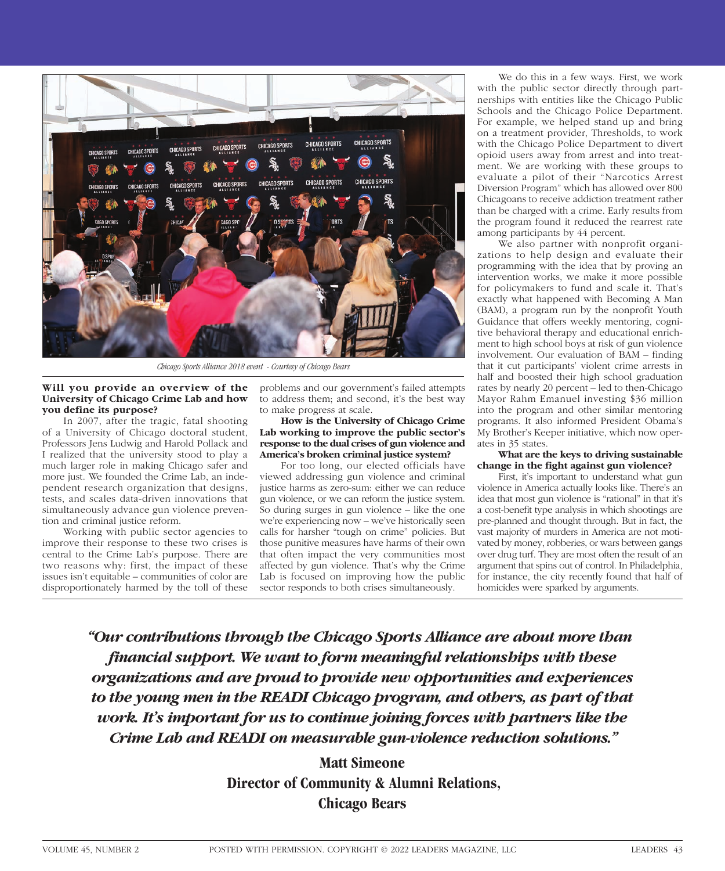

*Chicago Sports Alliance 2018 event - Courtesy of Chicago Bears*

### **Will you provide an overview of the University of Chicago Crime Lab and how you define its purpose?**

In 2007, after the tragic, fatal shooting of a University of Chicago doctoral student, Professors Jens Ludwig and Harold Pollack and I realized that the university stood to play a much larger role in making Chicago safer and more just. We founded the Crime Lab, an independent research organization that designs, tests, and scales data-driven innovations that simultaneously advance gun violence prevention and criminal justice reform.

Working with public sector agencies to improve their response to these two crises is central to the Crime Lab's purpose. There are two reasons why: first, the impact of these issues isn't equitable – communities of color are disproportionately harmed by the toll of these

problems and our government's failed attempts to address them; and second, it's the best way to make progress at scale.

#### **How is the University of Chicago Crime Lab working to improve the public sector's response to the dual crises of gun violence and America's broken criminal justice system?**

For too long, our elected officials have viewed addressing gun violence and criminal justice harms as zero-sum: either we can reduce gun violence, or we can reform the justice system. So during surges in gun violence – like the one we're experiencing now – we've historically seen calls for harsher "tough on crime" policies. But those punitive measures have harms of their own that often impact the very communities most affected by gun violence. That's why the Crime Lab is focused on improving how the public sector responds to both crises simultaneously.

We do this in a few ways. First, we work with the public sector directly through partnerships with entities like the Chicago Public Schools and the Chicago Police Department. For example, we helped stand up and bring on a treatment provider, Thresholds, to work with the Chicago Police Department to divert opioid users away from arrest and into treatment. We are working with these groups to evaluate a pilot of their "Narcotics Arrest Diversion Program" which has allowed over 800 Chicagoans to receive addiction treatment rather than be charged with a crime. Early results from the program found it reduced the rearrest rate among participants by 44 percent.

We also partner with nonprofit organizations to help design and evaluate their programming with the idea that by proving an intervention works, we make it more possible for policymakers to fund and scale it. That's exactly what happened with Becoming A Man (BAM), a program run by the nonprofit Youth Guidance that offers weekly mentoring, cognitive behavioral therapy and educational enrichment to high school boys at risk of gun violence involvement. Our evaluation of BAM – finding that it cut participants' violent crime arrests in half and boosted their high school graduation rates by nearly 20 percent – led to then-Chicago Mayor Rahm Emanuel investing \$36 million into the program and other similar mentoring programs. It also informed President Obama's My Brother's Keeper initiative, which now operates in 35 states.

#### **What are the keys to driving sustainable change in the fight against gun violence?**

First, it's important to understand what gun violence in America actually looks like. There's an idea that most gun violence is "rational" in that it's a cost-benefit type analysis in which shootings are pre-planned and thought through. But in fact, the vast majority of murders in America are not motivated by money, robberies, or wars between gangs over drug turf. They are most often the result of an argument that spins out of control. In Philadelphia, for instance, the city recently found that half of homicides were sparked by arguments.

*"Our contributions through the Chicago Sports Alliance are about more than financial support. We want to form meaningful relationships with these organizations and are proud to provide new opportunities and experiences*  to the young men in the READI Chicago program, and others, as part of that *work. It's important for us to continue joining forces with partners like the Crime Lab and READI on measurable gun-violence reduction solutions."*

> **Matt Simeone Director of Community & Alumni Relations, Chicago Bears**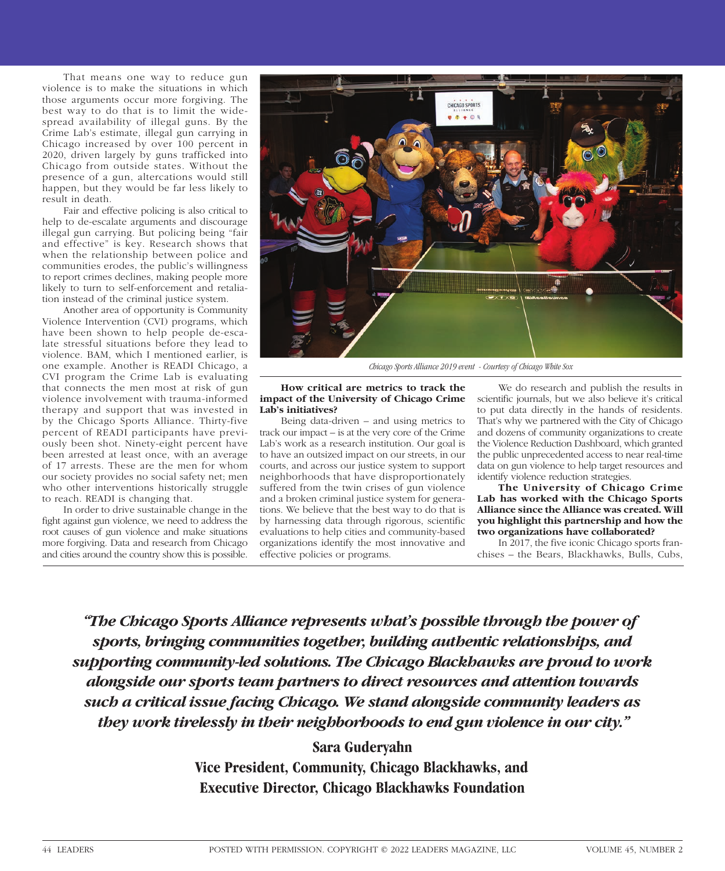That means one way to reduce gun violence is to make the situations in which those arguments occur more forgiving. The best way to do that is to limit the widespread availability of illegal guns. By the Crime Lab's estimate, illegal gun carrying in Chicago increased by over 100 percent in 2020, driven largely by guns trafficked into Chicago from outside states. Without the presence of a gun, altercations would still happen, but they would be far less likely to result in death.

Fair and effective policing is also critical to help to de-escalate arguments and discourage illegal gun carrying. But policing being "fair and effective" is key. Research shows that when the relationship between police and communities erodes, the public's willingness to report crimes declines, making people more likely to turn to self-enforcement and retaliation instead of the criminal justice system.

Another area of opportunity is Community Violence Intervention (CVI) programs, which have been shown to help people de-escalate stressful situations before they lead to violence. BAM, which I mentioned earlier, is one example. Another is READI Chicago, a CVI program the Crime Lab is evaluating that connects the men most at risk of gun violence involvement with trauma-informed therapy and support that was invested in by the Chicago Sports Alliance. Thirty-five percent of READI participants have previously been shot. Ninety-eight percent have been arrested at least once, with an average of 17 arrests. These are the men for whom our society provides no social safety net; men who other interventions historically struggle to reach. READI is changing that.

In order to drive sustainable change in the fight against gun violence, we need to address the root causes of gun violence and make situations more forgiving. Data and research from Chicago and cities around the country show this is possible.



*Chicago Sports Alliance 2019 event - Courtesy of Chicago White Sox*

#### **How critical are metrics to track the impact of the University of Chicago Crime Lab's initiatives?**

Being data-driven – and using metrics to track our impact – is at the very core of the Crime Lab's work as a research institution. Our goal is to have an outsized impact on our streets, in our courts, and across our justice system to support neighborhoods that have disproportionately suffered from the twin crises of gun violence and a broken criminal justice system for generations. We believe that the best way to do that is by harnessing data through rigorous, scientific evaluations to help cities and community-based organizations identify the most innovative and effective policies or programs.

We do research and publish the results in scientific journals, but we also believe it's critical to put data directly in the hands of residents. That's why we partnered with the City of Chicago and dozens of community organizations to create the Violence Reduction Dashboard, which granted the public unprecedented access to near real-time data on gun violence to help target resources and identify violence reduction strategies.

**The University of Chicago Crime Lab has worked with the Chicago Sports Alliance since the Alliance was created. Will you highlight this partnership and how the two organizations have collaborated?**

In 2017, the five iconic Chicago sports franchises – the Bears, Blackhawks, Bulls, Cubs,

*"The Chicago Sports Alliance represents what's possible through the power of sports, bringing communities together, building authentic relationships, and supporting community-led solutions. The Chicago Blackhawks are proud to work alongside our sports team partners to direct resources and attention towards such a critical issue facing Chicago. We stand alongside community leaders as they work tirelessly in their neighborhoods to end gun violence in our city."*

# **Sara Guderyahn**

**Vice President, Community, Chicago Blackhawks, and Executive Director, Chicago Blackhawks Foundation**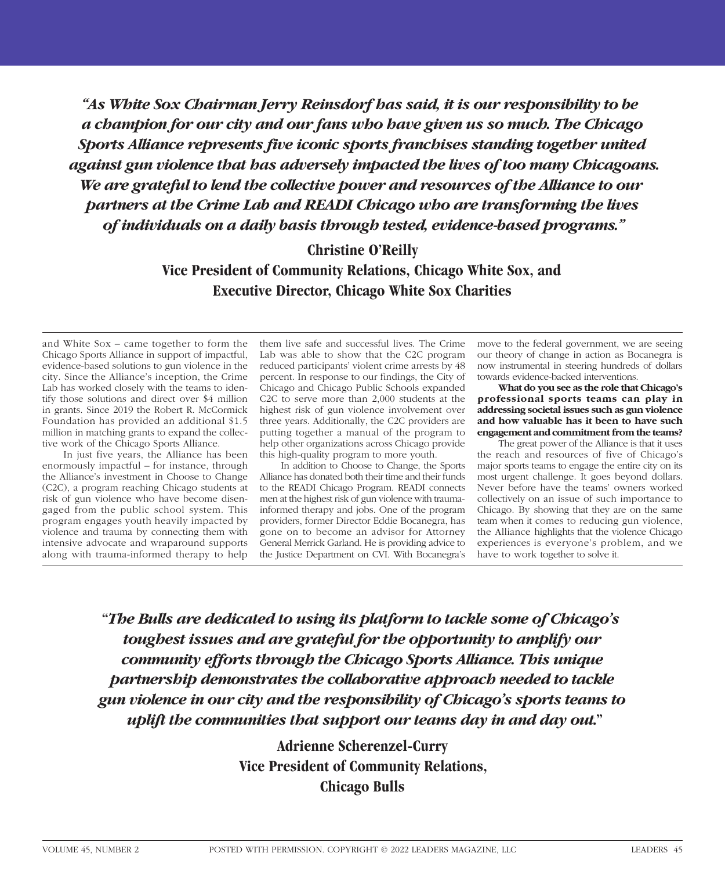*"As White Sox Chairman Jerry Reinsdorf has said, it is our responsibility to be a champion for our city and our fans who have given us so much. The Chicago Sports Alliance represents five iconic sports franchises standing together united against gun violence that has adversely impacted the lives of too many Chicagoans. We are grateful to lend the collective power and resources of the Alliance to our partners at the Crime Lab and READI Chicago who are transforming the lives of individuals on a daily basis through tested, evidence-based programs."* 

## **Christine O'Reilly**

**Vice President of Community Relations, Chicago White Sox, and Executive Director, Chicago White Sox Charities**

and White Sox – came together to form the Chicago Sports Alliance in support of impactful, evidence-based solutions to gun violence in the city. Since the Alliance's inception, the Crime Lab has worked closely with the teams to identify those solutions and direct over \$4 million in grants. Since 2019 the Robert R. McCormick Foundation has provided an additional \$1.5 million in matching grants to expand the collective work of the Chicago Sports Alliance.

In just five years, the Alliance has been enormously impactful – for instance, through the Alliance's investment in Choose to Change (C2C), a program reaching Chicago students at risk of gun violence who have become disengaged from the public school system. This program engages youth heavily impacted by violence and trauma by connecting them with intensive advocate and wraparound supports along with trauma-informed therapy to help

them live safe and successful lives. The Crime Lab was able to show that the C2C program reduced participants' violent crime arrests by 48 percent. In response to our findings, the City of Chicago and Chicago Public Schools expanded C2C to serve more than 2,000 students at the highest risk of gun violence involvement over three years. Additionally, the C2C providers are putting together a manual of the program to help other organizations across Chicago provide this high-quality program to more youth.

In addition to Choose to Change, the Sports Alliance has donated both their time and their funds to the READI Chicago Program. READI connects men at the highest risk of gun violence with traumainformed therapy and jobs. One of the program providers, former Director Eddie Bocanegra, has gone on to become an advisor for Attorney General Merrick Garland. He is providing advice to the Justice Department on CVI. With Bocanegra's

move to the federal government, we are seeing our theory of change in action as Bocanegra is now instrumental in steering hundreds of dollars towards evidence-backed interventions.

**What do you see as the role that Chicago's professional sports teams can play in addressing societal issues such as gun violence and how valuable has it been to have such engagement and commitment from the teams?**

The great power of the Alliance is that it uses the reach and resources of five of Chicago's major sports teams to engage the entire city on its most urgent challenge. It goes beyond dollars. Never before have the teams' owners worked collectively on an issue of such importance to Chicago. By showing that they are on the same team when it comes to reducing gun violence, the Alliance highlights that the violence Chicago experiences is everyone's problem, and we have to work together to solve it.

**"***The Bulls are dedicated to using its platform to tackle some of Chicago's toughest issues and are grateful for the opportunity to amplify our community efforts through the Chicago Sports Alliance. This unique partnership demonstrates the collaborative approach needed to tackle gun violence in our city and the responsibility of Chicago's sports teams to uplift the communities that support our teams day in and day out.***"**

> **Adrienne Scherenzel-Curry Vice President of Community Relations, Chicago Bulls**